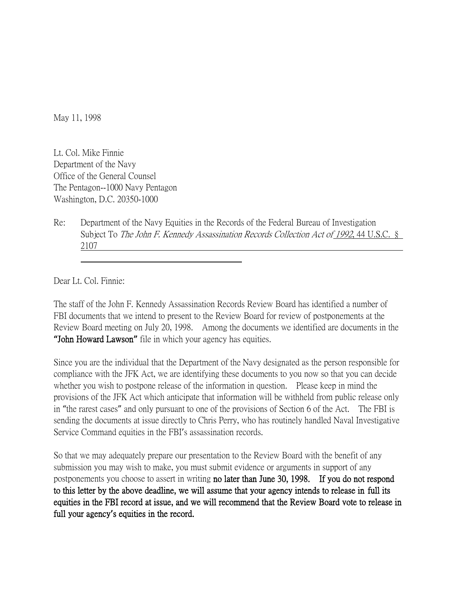May 11, 1998

Lt. Col. Mike Finnie Department of the Navy Office of the General Counsel The Pentagon--1000 Navy Pentagon Washington, D.C. 20350-1000

Re: Department of the Navy Equities in the Records of the Federal Bureau of Investigation Subject To The John F. Kennedy Assassination Records Collection Act of 1992, 44 U.S.C. § 2107

Dear Lt. Col. Finnie:

The staff of the John F. Kennedy Assassination Records Review Board has identified a number of FBI documents that we intend to present to the Review Board for review of postponements at the Review Board meeting on July 20, 1998. Among the documents we identified are documents in the **"**John Howard Lawson**"** file in which your agency has equities.

Since you are the individual that the Department of the Navy designated as the person responsible for compliance with the JFK Act, we are identifying these documents to you now so that you can decide whether you wish to postpone release of the information in question. Please keep in mind the provisions of the JFK Act which anticipate that information will be withheld from public release only in "the rarest cases" and only pursuant to one of the provisions of Section 6 of the Act. The FBI is sending the documents at issue directly to Chris Perry, who has routinely handled Naval Investigative Service Command equities in the FBI's assassination records.

So that we may adequately prepare our presentation to the Review Board with the benefit of any submission you may wish to make, you must submit evidence or arguments in support of any postponements you choose to assert in writing no later than June 30, 1998. If you do not respond to this letter by the above deadline, we will assume that your agency intends to release in full its equities in the FBI record at issue, and we will recommend that the Review Board vote to release in full your agency**'**s equities in the record.